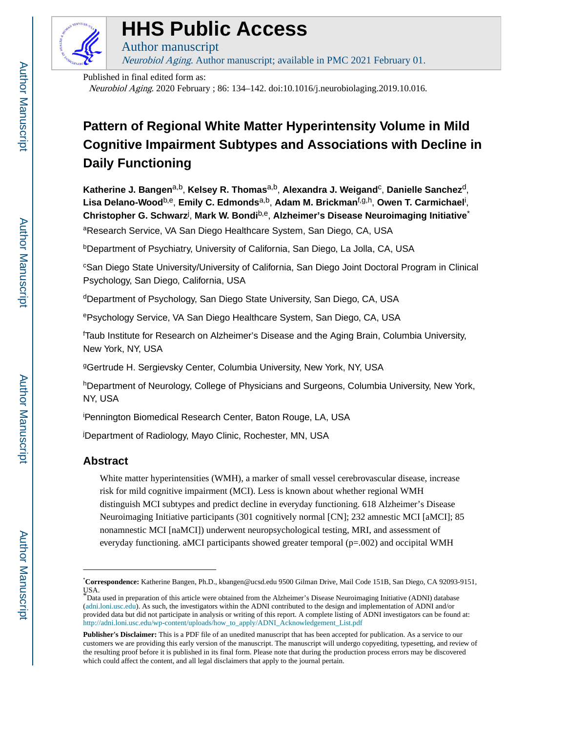

## **HHS Public Access**

Author manuscript Neurobiol Aging. Author manuscript; available in PMC 2021 February 01.

Published in final edited form as:

Neurobiol Aging. 2020 February ; 86: 134–142. doi:10.1016/j.neurobiolaging.2019.10.016.

### **Pattern of Regional White Matter Hyperintensity Volume in Mild Cognitive Impairment Subtypes and Associations with Decline in Daily Functioning**

**Katherine J. Bangen**a,b, **Kelsey R. Thomas**a,b, **Alexandra J. Weigand**<sup>c</sup> , **Danielle Sanchez**d, **Lisa Delano-Wood**b,e, **Emily C. Edmonds**a,b, **Adam M. Brickman**f,g,h, **Owen T. Carmichael**<sup>i</sup> , **Christopher G. Schwarz**<sup>j</sup> , **Mark W. Bondi**b,e, **Alzheimer's Disease Neuroimaging Initiative**\* aResearch Service, VA San Diego Healthcare System, San Diego, CA, USA

<sup>b</sup>Department of Psychiatry, University of California, San Diego, La Jolla, CA, USA

<sup>c</sup>San Diego State University/University of California, San Diego Joint Doctoral Program in Clinical Psychology, San Diego, California, USA

<sup>d</sup>Department of Psychology, San Diego State University, San Diego, CA, USA

<sup>e</sup>Psychology Service, VA San Diego Healthcare System, San Diego, CA, USA

<sup>f</sup>Taub Institute for Research on Alzheimer's Disease and the Aging Brain, Columbia University, New York, NY, USA

<sup>g</sup>Gertrude H. Sergievsky Center, Columbia University, New York, NY, USA

hDepartment of Neurology, College of Physicians and Surgeons, Columbia University, New York, NY, USA

<sup>i</sup>Pennington Biomedical Research Center, Baton Rouge, LA, USA

<sup>j</sup>Department of Radiology, Mayo Clinic, Rochester, MN, USA

#### **Abstract**

White matter hyperintensities (WMH), a marker of small vessel cerebrovascular disease, increase risk for mild cognitive impairment (MCI). Less is known about whether regional WMH distinguish MCI subtypes and predict decline in everyday functioning. 618 Alzheimer's Disease Neuroimaging Initiative participants (301 cognitively normal [CN]; 232 amnestic MCI [aMCI]; 85 nonamnestic MCI [naMCI]) underwent neuropsychological testing, MRI, and assessment of everyday functioning. aMCI participants showed greater temporal (p=.002) and occipital WMH

<sup>\*</sup>**Correspondence:** Katherine Bangen, Ph.D., kbangen@ucsd.edu 9500 Gilman Drive, Mail Code 151B, San Diego, CA 92093-9151, USA.

<sup>\*</sup>Data used in preparation of this article were obtained from the Alzheimer's Disease Neuroimaging Initiative (ADNI) database ([adni.loni.usc.edu](http://adni.loni.usc.edu)). As such, the investigators within the ADNI contributed to the design and implementation of ADNI and/or provided data but did not participate in analysis or writing of this report. A complete listing of ADNI investigators can be found at: [http://adni.loni.usc.edu/wp-content/uploads/how\\_to\\_apply/ADNI\\_Acknowledgement\\_List.pdf](http://adni.loni.usc.edu/wp-content/uploads/how_to_apply/ADNI_Acknowledgement_List.pdf)

**Publisher's Disclaimer:** This is a PDF file of an unedited manuscript that has been accepted for publication. As a service to our customers we are providing this early version of the manuscript. The manuscript will undergo copyediting, typesetting, and review of the resulting proof before it is published in its final form. Please note that during the production process errors may be discovered which could affect the content, and all legal disclaimers that apply to the journal pertain.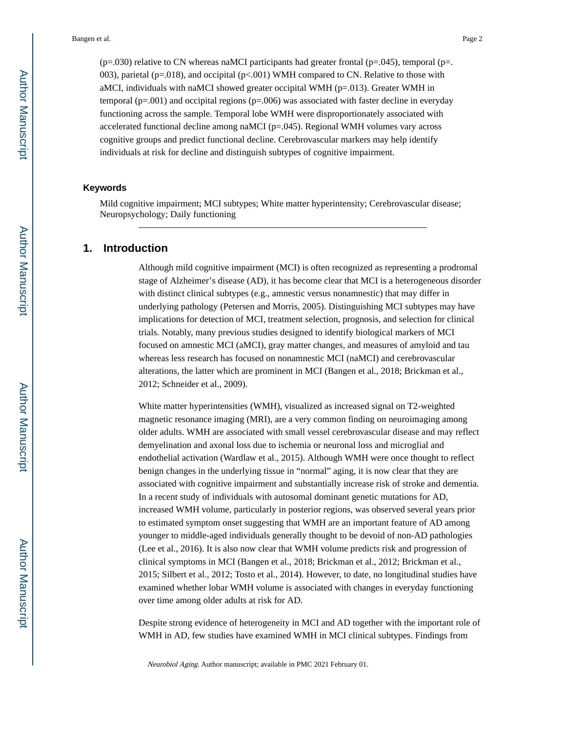$(p=0.030)$  relative to CN whereas naMCI participants had greater frontal  $(p=.045)$ , temporal  $(p=0.045)$ 003), parietal (p=.018), and occipital (p<.001) WMH compared to CN. Relative to those with aMCI, individuals with naMCI showed greater occipital WMH (p=.013). Greater WMH in temporal  $(p=.001)$  and occipital regions  $(p=.006)$  was associated with faster decline in everyday functioning across the sample. Temporal lobe WMH were disproportionately associated with accelerated functional decline among naMCI ( $p=.045$ ). Regional WMH volumes vary across cognitive groups and predict functional decline. Cerebrovascular markers may help identify individuals at risk for decline and distinguish subtypes of cognitive impairment.

#### **Keywords**

Mild cognitive impairment; MCI subtypes; White matter hyperintensity; Cerebrovascular disease; Neuropsychology; Daily functioning

#### **1. Introduction**

Although mild cognitive impairment (MCI) is often recognized as representing a prodromal stage of Alzheimer's disease (AD), it has become clear that MCI is a heterogeneous disorder with distinct clinical subtypes (e.g., amnestic versus nonamnestic) that may differ in underlying pathology (Petersen and Morris, 2005). Distinguishing MCI subtypes may have implications for detection of MCI, treatment selection, prognosis, and selection for clinical trials. Notably, many previous studies designed to identify biological markers of MCI focused on amnestic MCI (aMCI), gray matter changes, and measures of amyloid and tau whereas less research has focused on nonamnestic MCI (naMCI) and cerebrovascular alterations, the latter which are prominent in MCI (Bangen et al., 2018; Brickman et al., 2012; Schneider et al., 2009).

White matter hyperintensities (WMH), visualized as increased signal on T2-weighted magnetic resonance imaging (MRI), are a very common finding on neuroimaging among older adults. WMH are associated with small vessel cerebrovascular disease and may reflect demyelination and axonal loss due to ischemia or neuronal loss and microglial and endothelial activation (Wardlaw et al., 2015). Although WMH were once thought to reflect benign changes in the underlying tissue in "normal" aging, it is now clear that they are associated with cognitive impairment and substantially increase risk of stroke and dementia. In a recent study of individuals with autosomal dominant genetic mutations for AD, increased WMH volume, particularly in posterior regions, was observed several years prior to estimated symptom onset suggesting that WMH are an important feature of AD among younger to middle-aged individuals generally thought to be devoid of non-AD pathologies (Lee et al., 2016). It is also now clear that WMH volume predicts risk and progression of clinical symptoms in MCI (Bangen et al., 2018; Brickman et al., 2012; Brickman et al., 2015; Silbert et al., 2012; Tosto et al., 2014). However, to date, no longitudinal studies have examined whether lobar WMH volume is associated with changes in everyday functioning over time among older adults at risk for AD.

Despite strong evidence of heterogeneity in MCI and AD together with the important role of WMH in AD, few studies have examined WMH in MCI clinical subtypes. Findings from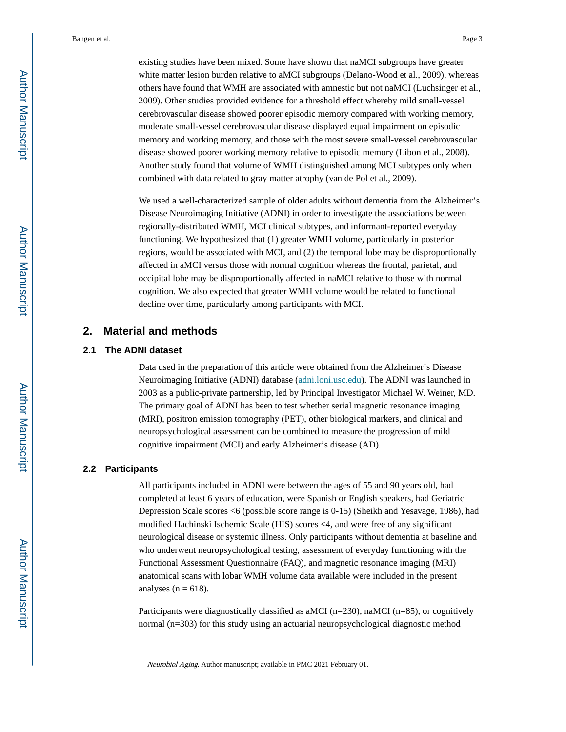existing studies have been mixed. Some have shown that naMCI subgroups have greater white matter lesion burden relative to aMCI subgroups (Delano-Wood et al., 2009), whereas others have found that WMH are associated with amnestic but not naMCI (Luchsinger et al., 2009). Other studies provided evidence for a threshold effect whereby mild small-vessel cerebrovascular disease showed poorer episodic memory compared with working memory, moderate small-vessel cerebrovascular disease displayed equal impairment on episodic memory and working memory, and those with the most severe small-vessel cerebrovascular disease showed poorer working memory relative to episodic memory (Libon et al., 2008). Another study found that volume of WMH distinguished among MCI subtypes only when combined with data related to gray matter atrophy (van de Pol et al., 2009).

We used a well-characterized sample of older adults without dementia from the Alzheimer's Disease Neuroimaging Initiative (ADNI) in order to investigate the associations between regionally-distributed WMH, MCI clinical subtypes, and informant-reported everyday functioning. We hypothesized that (1) greater WMH volume, particularly in posterior regions, would be associated with MCI, and (2) the temporal lobe may be disproportionally affected in aMCI versus those with normal cognition whereas the frontal, parietal, and occipital lobe may be disproportionally affected in naMCI relative to those with normal cognition. We also expected that greater WMH volume would be related to functional decline over time, particularly among participants with MCI.

#### **2. Material and methods**

#### **2.1 The ADNI dataset**

Data used in the preparation of this article were obtained from the Alzheimer's Disease Neuroimaging Initiative (ADNI) database ([adni.loni.usc.edu\)](http://adni.loni.usc.edu). The ADNI was launched in 2003 as a public-private partnership, led by Principal Investigator Michael W. Weiner, MD. The primary goal of ADNI has been to test whether serial magnetic resonance imaging (MRI), positron emission tomography (PET), other biological markers, and clinical and neuropsychological assessment can be combined to measure the progression of mild cognitive impairment (MCI) and early Alzheimer's disease (AD).

#### **2.2 Participants**

All participants included in ADNI were between the ages of 55 and 90 years old, had completed at least 6 years of education, were Spanish or English speakers, had Geriatric Depression Scale scores <6 (possible score range is 0-15) (Sheikh and Yesavage, 1986), had modified Hachinski Ischemic Scale (HIS) scores 4, and were free of any significant neurological disease or systemic illness. Only participants without dementia at baseline and who underwent neuropsychological testing, assessment of everyday functioning with the Functional Assessment Questionnaire (FAQ), and magnetic resonance imaging (MRI) anatomical scans with lobar WMH volume data available were included in the present analyses ( $n = 618$ ).

Participants were diagnostically classified as aMCI ( $n=230$ ), naMCI ( $n=85$ ), or cognitively normal (n=303) for this study using an actuarial neuropsychological diagnostic method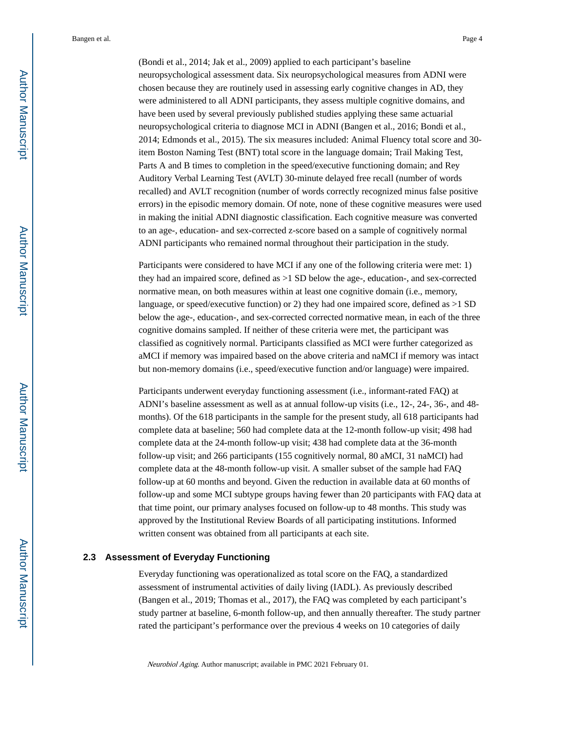(Bondi et al., 2014; Jak et al., 2009) applied to each participant's baseline neuropsychological assessment data. Six neuropsychological measures from ADNI were chosen because they are routinely used in assessing early cognitive changes in AD, they were administered to all ADNI participants, they assess multiple cognitive domains, and have been used by several previously published studies applying these same actuarial neuropsychological criteria to diagnose MCI in ADNI (Bangen et al., 2016; Bondi et al., 2014; Edmonds et al., 2015). The six measures included: Animal Fluency total score and 30 item Boston Naming Test (BNT) total score in the language domain; Trail Making Test, Parts A and B times to completion in the speed/executive functioning domain; and Rey Auditory Verbal Learning Test (AVLT) 30-minute delayed free recall (number of words recalled) and AVLT recognition (number of words correctly recognized minus false positive errors) in the episodic memory domain. Of note, none of these cognitive measures were used in making the initial ADNI diagnostic classification. Each cognitive measure was converted to an age-, education- and sex-corrected z-score based on a sample of cognitively normal ADNI participants who remained normal throughout their participation in the study.

Participants were considered to have MCI if any one of the following criteria were met: 1) they had an impaired score, defined as >1 SD below the age-, education-, and sex-corrected normative mean, on both measures within at least one cognitive domain (i.e., memory, language, or speed/executive function) or 2) they had one impaired score, defined as >1 SD below the age-, education-, and sex-corrected corrected normative mean, in each of the three cognitive domains sampled. If neither of these criteria were met, the participant was classified as cognitively normal. Participants classified as MCI were further categorized as aMCI if memory was impaired based on the above criteria and naMCI if memory was intact but non-memory domains (i.e., speed/executive function and/or language) were impaired.

Participants underwent everyday functioning assessment (i.e., informant-rated FAQ) at ADNI's baseline assessment as well as at annual follow-up visits (i.e., 12-, 24-, 36-, and 48 months). Of the 618 participants in the sample for the present study, all 618 participants had complete data at baseline; 560 had complete data at the 12-month follow-up visit; 498 had complete data at the 24-month follow-up visit; 438 had complete data at the 36-month follow-up visit; and 266 participants (155 cognitively normal, 80 aMCI, 31 naMCI) had complete data at the 48-month follow-up visit. A smaller subset of the sample had FAQ follow-up at 60 months and beyond. Given the reduction in available data at 60 months of follow-up and some MCI subtype groups having fewer than 20 participants with FAQ data at that time point, our primary analyses focused on follow-up to 48 months. This study was approved by the Institutional Review Boards of all participating institutions. Informed written consent was obtained from all participants at each site.

#### **2.3 Assessment of Everyday Functioning**

Everyday functioning was operationalized as total score on the FAQ, a standardized assessment of instrumental activities of daily living (IADL). As previously described (Bangen et al., 2019; Thomas et al., 2017), the FAQ was completed by each participant's study partner at baseline, 6-month follow-up, and then annually thereafter. The study partner rated the participant's performance over the previous 4 weeks on 10 categories of daily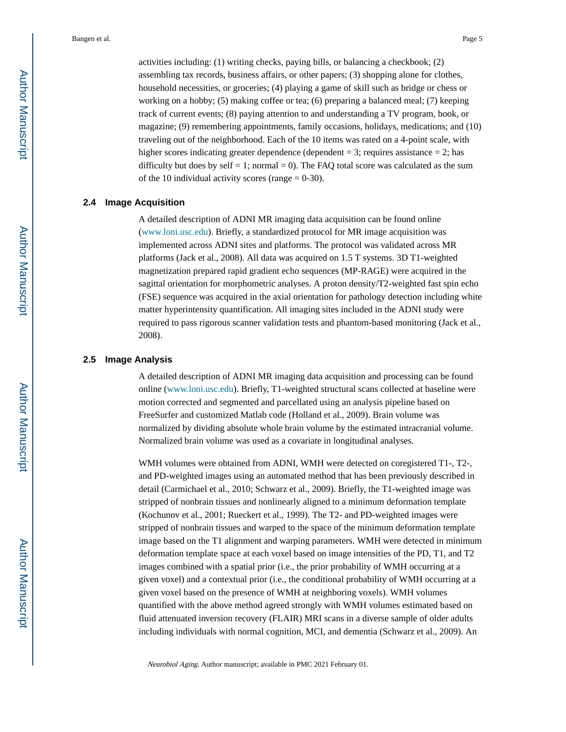activities including: (1) writing checks, paying bills, or balancing a checkbook; (2) assembling tax records, business affairs, or other papers; (3) shopping alone for clothes, household necessities, or groceries; (4) playing a game of skill such as bridge or chess or working on a hobby; (5) making coffee or tea; (6) preparing a balanced meal; (7) keeping track of current events; (8) paying attention to and understanding a TV program, book, or magazine; (9) remembering appointments, family occasions, holidays, medications; and (10) traveling out of the neighborhood. Each of the 10 items was rated on a 4-point scale, with higher scores indicating greater dependence (dependent = 3; requires assistance = 2; has difficulty but does by self  $= 1$ ; normal  $= 0$ ). The FAQ total score was calculated as the sum of the 10 individual activity scores (range  $= 0-30$ ).

#### **2.4 Image Acquisition**

A detailed description of ADNI MR imaging data acquisition can be found online [\(www.loni.usc.edu](http://www.loni.usc.edu/)). Briefly, a standardized protocol for MR image acquisition was implemented across ADNI sites and platforms. The protocol was validated across MR platforms (Jack et al., 2008). All data was acquired on 1.5 T systems. 3D T1-weighted magnetization prepared rapid gradient echo sequences (MP-RAGE) were acquired in the sagittal orientation for morphometric analyses. A proton density/T2-weighted fast spin echo (FSE) sequence was acquired in the axial orientation for pathology detection including white matter hyperintensity quantification. All imaging sites included in the ADNI study were required to pass rigorous scanner validation tests and phantom-based monitoring (Jack et al., 2008).

#### **2.5 Image Analysis**

A detailed description of ADNI MR imaging data acquisition and processing can be found online ([www.loni.usc.edu\)](http://www.loni.usc.edu/). Briefly, T1-weighted structural scans collected at baseline were motion corrected and segmented and parcellated using an analysis pipeline based on FreeSurfer and customized Matlab code (Holland et al., 2009). Brain volume was normalized by dividing absolute whole brain volume by the estimated intracranial volume. Normalized brain volume was used as a covariate in longitudinal analyses.

WMH volumes were obtained from ADNI, WMH were detected on coregistered T1-, T2-, and PD-weighted images using an automated method that has been previously described in detail (Carmichael et al., 2010; Schwarz et al., 2009). Briefly, the T1-weighted image was stripped of nonbrain tissues and nonlinearly aligned to a minimum deformation template (Kochunov et al., 2001; Rueckert et al., 1999). The T2- and PD-weighted images were stripped of nonbrain tissues and warped to the space of the minimum deformation template image based on the T1 alignment and warping parameters. WMH were detected in minimum deformation template space at each voxel based on image intensities of the PD, T1, and T2 images combined with a spatial prior (i.e., the prior probability of WMH occurring at a given voxel) and a contextual prior (i.e., the conditional probability of WMH occurring at a given voxel based on the presence of WMH at neighboring voxels). WMH volumes quantified with the above method agreed strongly with WMH volumes estimated based on fluid attenuated inversion recovery (FLAIR) MRI scans in a diverse sample of older adults including individuals with normal cognition, MCI, and dementia (Schwarz et al., 2009). An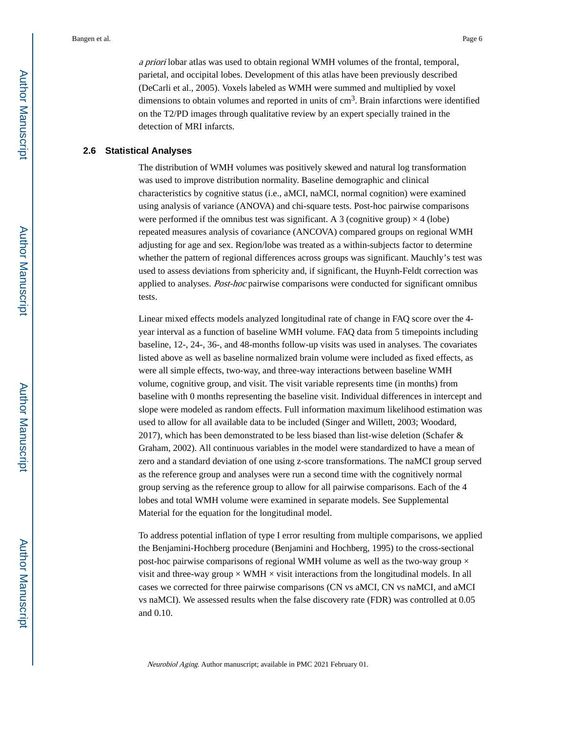a priori lobar atlas was used to obtain regional WMH volumes of the frontal, temporal, parietal, and occipital lobes. Development of this atlas have been previously described (DeCarli et al., 2005). Voxels labeled as WMH were summed and multiplied by voxel dimensions to obtain volumes and reported in units of  $cm<sup>3</sup>$ . Brain infarctions were identified on the T2/PD images through qualitative review by an expert specially trained in the detection of MRI infarcts.

#### **2.6 Statistical Analyses**

The distribution of WMH volumes was positively skewed and natural log transformation was used to improve distribution normality. Baseline demographic and clinical characteristics by cognitive status (i.e., aMCI, naMCI, normal cognition) were examined using analysis of variance (ANOVA) and chi-square tests. Post-hoc pairwise comparisons were performed if the omnibus test was significant. A 3 (cognitive group)  $\times$  4 (lobe) repeated measures analysis of covariance (ANCOVA) compared groups on regional WMH adjusting for age and sex. Region/lobe was treated as a within-subjects factor to determine whether the pattern of regional differences across groups was significant. Mauchly's test was used to assess deviations from sphericity and, if significant, the Huynh-Feldt correction was applied to analyses. Post-hoc pairwise comparisons were conducted for significant omnibus tests.

Linear mixed effects models analyzed longitudinal rate of change in FAQ score over the 4 year interval as a function of baseline WMH volume. FAQ data from 5 timepoints including baseline, 12-, 24-, 36-, and 48-months follow-up visits was used in analyses. The covariates listed above as well as baseline normalized brain volume were included as fixed effects, as were all simple effects, two-way, and three-way interactions between baseline WMH volume, cognitive group, and visit. The visit variable represents time (in months) from baseline with 0 months representing the baseline visit. Individual differences in intercept and slope were modeled as random effects. Full information maximum likelihood estimation was used to allow for all available data to be included (Singer and Willett, 2003; Woodard, 2017), which has been demonstrated to be less biased than list-wise deletion (Schafer  $\&$ Graham, 2002). All continuous variables in the model were standardized to have a mean of zero and a standard deviation of one using z-score transformations. The naMCI group served as the reference group and analyses were run a second time with the cognitively normal group serving as the reference group to allow for all pairwise comparisons. Each of the 4 lobes and total WMH volume were examined in separate models. See Supplemental Material for the equation for the longitudinal model.

To address potential inflation of type I error resulting from multiple comparisons, we applied the Benjamini-Hochberg procedure (Benjamini and Hochberg, 1995) to the cross-sectional post-hoc pairwise comparisons of regional WMH volume as well as the two-way group  $\times$ visit and three-way group  $\times$  WMH  $\times$  visit interactions from the longitudinal models. In all cases we corrected for three pairwise comparisons (CN vs aMCI, CN vs naMCI, and aMCI vs naMCI). We assessed results when the false discovery rate (FDR) was controlled at 0.05 and 0.10.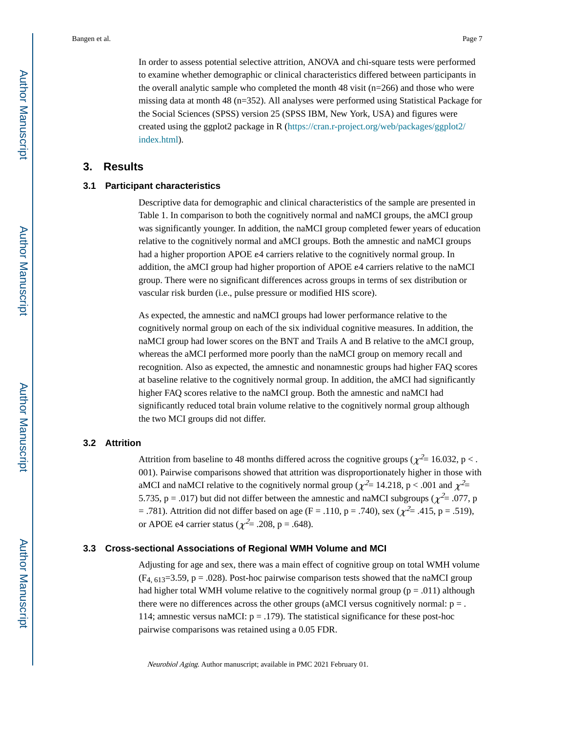In order to assess potential selective attrition, ANOVA and chi-square tests were performed to examine whether demographic or clinical characteristics differed between participants in the overall analytic sample who completed the month 48 visit  $(n=266)$  and those who were missing data at month 48 (n=352). All analyses were performed using Statistical Package for the Social Sciences (SPSS) version 25 (SPSS IBM, New York, USA) and figures were created using the ggplot2 package in R [\(https://cran.r-project.org/web/packages/ggplot2/](https://cran.r-project.org/web/packages/ggplot2/index.html) [index.html\)](https://cran.r-project.org/web/packages/ggplot2/index.html).

#### **3. Results**

#### **3.1 Participant characteristics**

Descriptive data for demographic and clinical characteristics of the sample are presented in Table 1. In comparison to both the cognitively normal and naMCI groups, the aMCI group was significantly younger. In addition, the naMCI group completed fewer years of education relative to the cognitively normal and aMCI groups. Both the amnestic and naMCI groups had a higher proportion APOE ε4 carriers relative to the cognitively normal group. In addition, the aMCI group had higher proportion of APOE ε4 carriers relative to the naMCI group. There were no significant differences across groups in terms of sex distribution or vascular risk burden (i.e., pulse pressure or modified HIS score).

As expected, the amnestic and naMCI groups had lower performance relative to the cognitively normal group on each of the six individual cognitive measures. In addition, the naMCI group had lower scores on the BNT and Trails A and B relative to the aMCI group, whereas the aMCI performed more poorly than the naMCI group on memory recall and recognition. Also as expected, the amnestic and nonamnestic groups had higher FAQ scores at baseline relative to the cognitively normal group. In addition, the aMCI had significantly higher FAQ scores relative to the naMCI group. Both the amnestic and naMCI had significantly reduced total brain volume relative to the cognitively normal group although the two MCI groups did not differ.

#### **3.2 Attrition**

Attrition from baseline to 48 months differed across the cognitive groups ( $\chi^2$  = 16.032, p < . 001). Pairwise comparisons showed that attrition was disproportionately higher in those with aMCI and naMCI relative to the cognitively normal group ( $\chi^2$  = 14.218, p < .001 and  $\chi^2$  = 5.735, p = .017) but did not differ between the amnestic and naMCI subgroups ( $\chi^2$  = .077, p = .781). Attrition did not differ based on age (F = .110, p = .740), sex ( $\chi^2$  = .415, p = .519), or APOE e4 carrier status ( $\chi^2$ = .208, p = .648).

#### **3.3 Cross-sectional Associations of Regional WMH Volume and MCI**

Adjusting for age and sex, there was a main effect of cognitive group on total WMH volume  $(F_{4, 613}=3.59, p = .028)$ . Post-hoc pairwise comparison tests showed that the naMCI group had higher total WMH volume relative to the cognitively normal group ( $p = .011$ ) although there were no differences across the other groups (aMCI versus cognitively normal:  $p =$ . 114; amnestic versus naMCI:  $p = .179$ ). The statistical significance for these post-hoc pairwise comparisons was retained using a 0.05 FDR.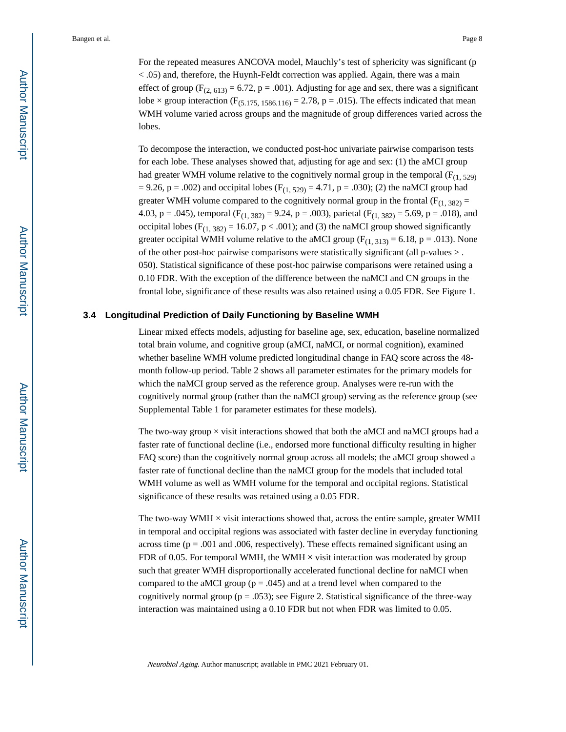For the repeated measures ANCOVA model, Mauchly's test of sphericity was significant (p < .05) and, therefore, the Huynh-Feldt correction was applied. Again, there was a main effect of group ( $F_{(2, 613)} = 6.72$ , p = .001). Adjusting for age and sex, there was a significant lobe  $\times$  group interaction (F<sub>(5,175, 1586,116)</sub> = 2.78, p = .015). The effects indicated that mean WMH volume varied across groups and the magnitude of group differences varied across the lobes.

To decompose the interaction, we conducted post-hoc univariate pairwise comparison tests for each lobe. These analyses showed that, adjusting for age and sex: (1) the aMCI group had greater WMH volume relative to the cognitively normal group in the temporal ( $F_{(1, 529)}$ ) = 9.26, p = .002) and occipital lobes ( $F_{(1, 529)}$  = 4.71, p = .030); (2) the naMCI group had greater WMH volume compared to the cognitively normal group in the frontal ( $F_{(1, 382)}$  = 4.03, p = .045), temporal  $(F_{(1, 382)} = 9.24, p = .003)$ , parietal  $(F_{(1, 382)} = 5.69, p = .018)$ , and occipital lobes ( $F_{(1, 382)} = 16.07$ , p < .001); and (3) the naMCI group showed significantly greater occipital WMH volume relative to the aMCI group  $(F_{(1, 313)} = 6.18, p = .013)$ . None of the other post-hoc pairwise comparisons were statistically significant (all p-values 050). Statistical significance of these post-hoc pairwise comparisons were retained using a 0.10 FDR. With the exception of the difference between the naMCI and CN groups in the frontal lobe, significance of these results was also retained using a 0.05 FDR. See Figure 1.

#### **3.4 Longitudinal Prediction of Daily Functioning by Baseline WMH**

Linear mixed effects models, adjusting for baseline age, sex, education, baseline normalized total brain volume, and cognitive group (aMCI, naMCI, or normal cognition), examined whether baseline WMH volume predicted longitudinal change in FAQ score across the 48 month follow-up period. Table 2 shows all parameter estimates for the primary models for which the naMCI group served as the reference group. Analyses were re-run with the cognitively normal group (rather than the naMCI group) serving as the reference group (see Supplemental Table 1 for parameter estimates for these models).

The two-way group  $\times$  visit interactions showed that both the aMCI and naMCI groups had a faster rate of functional decline (i.e., endorsed more functional difficulty resulting in higher FAQ score) than the cognitively normal group across all models; the aMCI group showed a faster rate of functional decline than the naMCI group for the models that included total WMH volume as well as WMH volume for the temporal and occipital regions. Statistical significance of these results was retained using a 0.05 FDR.

The two-way WMH  $\times$  visit interactions showed that, across the entire sample, greater WMH in temporal and occipital regions was associated with faster decline in everyday functioning across time ( $p = .001$  and  $.006$ , respectively). These effects remained significant using an FDR of 0.05. For temporal WMH, the WMH  $\times$  visit interaction was moderated by group such that greater WMH disproportionally accelerated functional decline for naMCI when compared to the aMCI group ( $p = .045$ ) and at a trend level when compared to the cognitively normal group ( $p = .053$ ); see Figure 2. Statistical significance of the three-way interaction was maintained using a 0.10 FDR but not when FDR was limited to 0.05.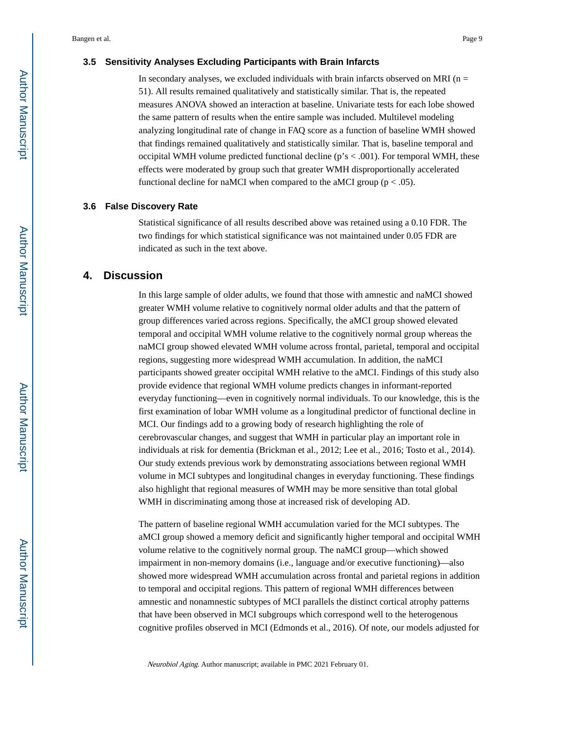#### **3.5 Sensitivity Analyses Excluding Participants with Brain Infarcts**

In secondary analyses, we excluded individuals with brain infarcts observed on MRI ( $n =$ 51). All results remained qualitatively and statistically similar. That is, the repeated measures ANOVA showed an interaction at baseline. Univariate tests for each lobe showed the same pattern of results when the entire sample was included. Multilevel modeling analyzing longitudinal rate of change in FAQ score as a function of baseline WMH showed that findings remained qualitatively and statistically similar. That is, baseline temporal and occipital WMH volume predicted functional decline ( $p's < .001$ ). For temporal WMH, these effects were moderated by group such that greater WMH disproportionally accelerated functional decline for naMCI when compared to the aMCI group ( $p < .05$ ).

#### **3.6 False Discovery Rate**

Statistical significance of all results described above was retained using a 0.10 FDR. The two findings for which statistical significance was not maintained under 0.05 FDR are indicated as such in the text above.

#### **4. Discussion**

In this large sample of older adults, we found that those with amnestic and naMCI showed greater WMH volume relative to cognitively normal older adults and that the pattern of group differences varied across regions. Specifically, the aMCI group showed elevated temporal and occipital WMH volume relative to the cognitively normal group whereas the naMCI group showed elevated WMH volume across frontal, parietal, temporal and occipital regions, suggesting more widespread WMH accumulation. In addition, the naMCI participants showed greater occipital WMH relative to the aMCI. Findings of this study also provide evidence that regional WMH volume predicts changes in informant-reported everyday functioning—even in cognitively normal individuals. To our knowledge, this is the first examination of lobar WMH volume as a longitudinal predictor of functional decline in MCI. Our findings add to a growing body of research highlighting the role of cerebrovascular changes, and suggest that WMH in particular play an important role in individuals at risk for dementia (Brickman et al., 2012; Lee et al., 2016; Tosto et al., 2014). Our study extends previous work by demonstrating associations between regional WMH volume in MCI subtypes and longitudinal changes in everyday functioning. These findings also highlight that regional measures of WMH may be more sensitive than total global WMH in discriminating among those at increased risk of developing AD.

The pattern of baseline regional WMH accumulation varied for the MCI subtypes. The aMCI group showed a memory deficit and significantly higher temporal and occipital WMH volume relative to the cognitively normal group. The naMCI group—which showed impairment in non-memory domains (i.e., language and/or executive functioning)—also showed more widespread WMH accumulation across frontal and parietal regions in addition to temporal and occipital regions. This pattern of regional WMH differences between amnestic and nonamnestic subtypes of MCI parallels the distinct cortical atrophy patterns that have been observed in MCI subgroups which correspond well to the heterogenous cognitive profiles observed in MCI (Edmonds et al., 2016). Of note, our models adjusted for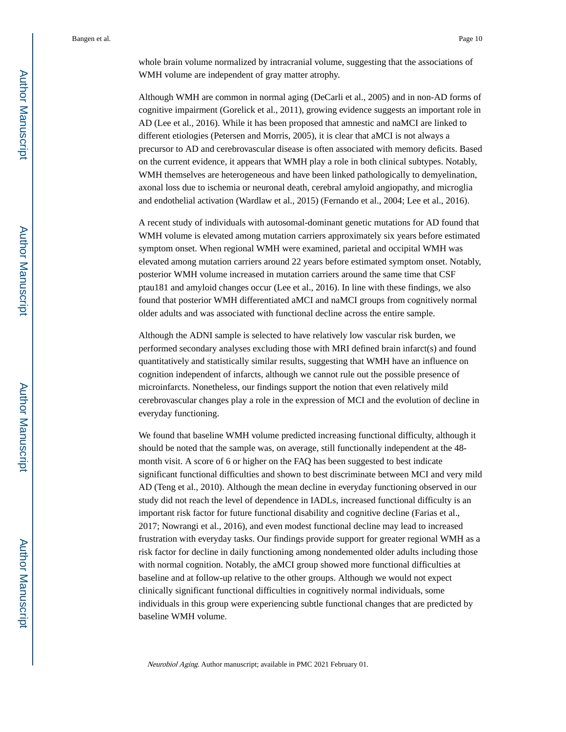whole brain volume normalized by intracranial volume, suggesting that the associations of WMH volume are independent of gray matter atrophy.

Although WMH are common in normal aging (DeCarli et al., 2005) and in non-AD forms of cognitive impairment (Gorelick et al., 2011), growing evidence suggests an important role in AD (Lee et al., 2016). While it has been proposed that amnestic and naMCI are linked to different etiologies (Petersen and Morris, 2005), it is clear that aMCI is not always a precursor to AD and cerebrovascular disease is often associated with memory deficits. Based on the current evidence, it appears that WMH play a role in both clinical subtypes. Notably, WMH themselves are heterogeneous and have been linked pathologically to demyelination, axonal loss due to ischemia or neuronal death, cerebral amyloid angiopathy, and microglia and endothelial activation (Wardlaw et al., 2015) (Fernando et al., 2004; Lee et al., 2016).

A recent study of individuals with autosomal-dominant genetic mutations for AD found that WMH volume is elevated among mutation carriers approximately six years before estimated symptom onset. When regional WMH were examined, parietal and occipital WMH was elevated among mutation carriers around 22 years before estimated symptom onset. Notably, posterior WMH volume increased in mutation carriers around the same time that CSF ptau181 and amyloid changes occur (Lee et al., 2016). In line with these findings, we also found that posterior WMH differentiated aMCI and naMCI groups from cognitively normal older adults and was associated with functional decline across the entire sample.

Although the ADNI sample is selected to have relatively low vascular risk burden, we performed secondary analyses excluding those with MRI defined brain infarct(s) and found quantitatively and statistically similar results, suggesting that WMH have an influence on cognition independent of infarcts, although we cannot rule out the possible presence of microinfarcts. Nonetheless, our findings support the notion that even relatively mild cerebrovascular changes play a role in the expression of MCI and the evolution of decline in everyday functioning.

We found that baseline WMH volume predicted increasing functional difficulty, although it should be noted that the sample was, on average, still functionally independent at the 48 month visit. A score of 6 or higher on the FAQ has been suggested to best indicate significant functional difficulties and shown to best discriminate between MCI and very mild AD (Teng et al., 2010). Although the mean decline in everyday functioning observed in our study did not reach the level of dependence in IADLs, increased functional difficulty is an important risk factor for future functional disability and cognitive decline (Farias et al., 2017; Nowrangi et al., 2016), and even modest functional decline may lead to increased frustration with everyday tasks. Our findings provide support for greater regional WMH as a risk factor for decline in daily functioning among nondemented older adults including those with normal cognition. Notably, the aMCI group showed more functional difficulties at baseline and at follow-up relative to the other groups. Although we would not expect clinically significant functional difficulties in cognitively normal individuals, some individuals in this group were experiencing subtle functional changes that are predicted by baseline WMH volume.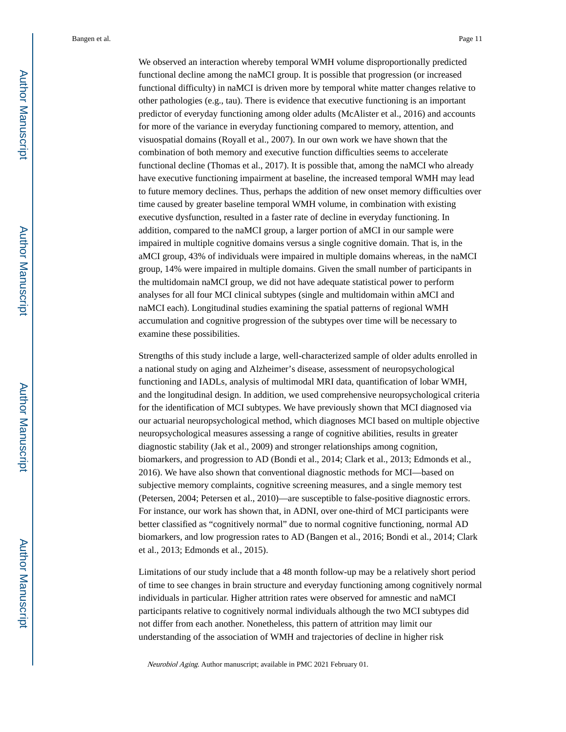We observed an interaction whereby temporal WMH volume disproportionally predicted functional decline among the naMCI group. It is possible that progression (or increased functional difficulty) in naMCI is driven more by temporal white matter changes relative to other pathologies (e.g., tau). There is evidence that executive functioning is an important predictor of everyday functioning among older adults (McAlister et al., 2016) and accounts for more of the variance in everyday functioning compared to memory, attention, and visuospatial domains (Royall et al., 2007). In our own work we have shown that the combination of both memory and executive function difficulties seems to accelerate functional decline (Thomas et al., 2017). It is possible that, among the naMCI who already have executive functioning impairment at baseline, the increased temporal WMH may lead to future memory declines. Thus, perhaps the addition of new onset memory difficulties over time caused by greater baseline temporal WMH volume, in combination with existing executive dysfunction, resulted in a faster rate of decline in everyday functioning. In addition, compared to the naMCI group, a larger portion of aMCI in our sample were impaired in multiple cognitive domains versus a single cognitive domain. That is, in the aMCI group, 43% of individuals were impaired in multiple domains whereas, in the naMCI group, 14% were impaired in multiple domains. Given the small number of participants in the multidomain naMCI group, we did not have adequate statistical power to perform analyses for all four MCI clinical subtypes (single and multidomain within aMCI and naMCI each). Longitudinal studies examining the spatial patterns of regional WMH accumulation and cognitive progression of the subtypes over time will be necessary to examine these possibilities.

Strengths of this study include a large, well-characterized sample of older adults enrolled in a national study on aging and Alzheimer's disease, assessment of neuropsychological functioning and IADLs, analysis of multimodal MRI data, quantification of lobar WMH, and the longitudinal design. In addition, we used comprehensive neuropsychological criteria for the identification of MCI subtypes. We have previously shown that MCI diagnosed via our actuarial neuropsychological method, which diagnoses MCI based on multiple objective neuropsychological measures assessing a range of cognitive abilities, results in greater diagnostic stability (Jak et al., 2009) and stronger relationships among cognition, biomarkers, and progression to AD (Bondi et al., 2014; Clark et al., 2013; Edmonds et al., 2016). We have also shown that conventional diagnostic methods for MCI—based on subjective memory complaints, cognitive screening measures, and a single memory test (Petersen, 2004; Petersen et al., 2010)—are susceptible to false-positive diagnostic errors. For instance, our work has shown that, in ADNI, over one-third of MCI participants were better classified as "cognitively normal" due to normal cognitive functioning, normal AD biomarkers, and low progression rates to AD (Bangen et al., 2016; Bondi et al., 2014; Clark et al., 2013; Edmonds et al., 2015).

Limitations of our study include that a 48 month follow-up may be a relatively short period of time to see changes in brain structure and everyday functioning among cognitively normal individuals in particular. Higher attrition rates were observed for amnestic and naMCI participants relative to cognitively normal individuals although the two MCI subtypes did not differ from each another. Nonetheless, this pattern of attrition may limit our understanding of the association of WMH and trajectories of decline in higher risk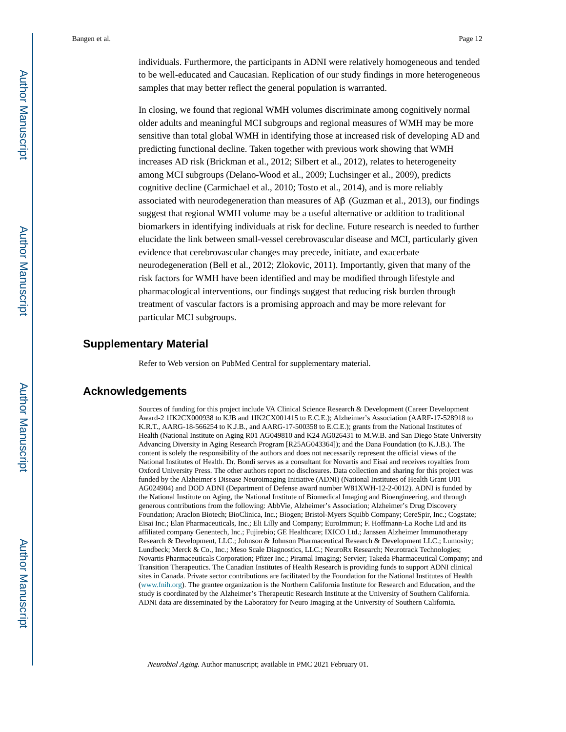individuals. Furthermore, the participants in ADNI were relatively homogeneous and tended to be well-educated and Caucasian. Replication of our study findings in more heterogeneous samples that may better reflect the general population is warranted.

In closing, we found that regional WMH volumes discriminate among cognitively normal older adults and meaningful MCI subgroups and regional measures of WMH may be more sensitive than total global WMH in identifying those at increased risk of developing AD and predicting functional decline. Taken together with previous work showing that WMH increases AD risk (Brickman et al., 2012; Silbert et al., 2012), relates to heterogeneity among MCI subgroups (Delano-Wood et al., 2009; Luchsinger et al., 2009), predicts cognitive decline (Carmichael et al., 2010; Tosto et al., 2014), and is more reliably associated with neurodegeneration than measures of  $\text{A}\beta$  (Guzman et al., 2013), our findings suggest that regional WMH volume may be a useful alternative or addition to traditional biomarkers in identifying individuals at risk for decline. Future research is needed to further elucidate the link between small-vessel cerebrovascular disease and MCI, particularly given evidence that cerebrovascular changes may precede, initiate, and exacerbate neurodegeneration (Bell et al., 2012; Zlokovic, 2011). Importantly, given that many of the risk factors for WMH have been identified and may be modified through lifestyle and pharmacological interventions, our findings suggest that reducing risk burden through treatment of vascular factors is a promising approach and may be more relevant for particular MCI subgroups.

#### **Supplementary Material**

Refer to Web version on PubMed Central for supplementary material.

#### **Acknowledgements**

Sources of funding for this project include VA Clinical Science Research & Development (Career Development Award-2 1IK2CX000938 to KJB and 1IK2CX001415 to E.C.E.); Alzheimer's Association (AARF-17-528918 to K.R.T., AARG-18-566254 to K.J.B., and AARG-17-500358 to E.C.E.); grants from the National Institutes of Health (National Institute on Aging R01 AG049810 and K24 AG026431 to M.W.B. and San Diego State University Advancing Diversity in Aging Research Program [R25AG043364]); and the Dana Foundation (to K.J.B.). The content is solely the responsibility of the authors and does not necessarily represent the official views of the National Institutes of Health. Dr. Bondi serves as a consultant for Novartis and Eisai and receives royalties from Oxford University Press. The other authors report no disclosures. Data collection and sharing for this project was funded by the Alzheimer's Disease Neuroimaging Initiative (ADNI) (National Institutes of Health Grant U01 AG024904) and DOD ADNI (Department of Defense award number W81XWH-12-2-0012). ADNI is funded by the National Institute on Aging, the National Institute of Biomedical Imaging and Bioengineering, and through generous contributions from the following: AbbVie, Alzheimer's Association; Alzheimer's Drug Discovery Foundation; Araclon Biotech; BioClinica, Inc.; Biogen; Bristol-Myers Squibb Company; CereSpir, Inc.; Cogstate; Eisai Inc.; Elan Pharmaceuticals, Inc.; Eli Lilly and Company; EuroImmun; F. Hoffmann-La Roche Ltd and its affiliated company Genentech, Inc.; Fujirebio; GE Healthcare; IXICO Ltd.; Janssen Alzheimer Immunotherapy Research & Development, LLC.; Johnson & Johnson Pharmaceutical Research & Development LLC.; Lumosity; Lundbeck; Merck & Co., Inc.; Meso Scale Diagnostics, LLC.; NeuroRx Research; Neurotrack Technologies; Novartis Pharmaceuticals Corporation; Pfizer Inc.; Piramal Imaging; Servier; Takeda Pharmaceutical Company; and Transition Therapeutics. The Canadian Institutes of Health Research is providing funds to support ADNI clinical sites in Canada. Private sector contributions are facilitated by the Foundation for the National Institutes of Health ([www.fnih.org\)](http://www.fnih.org/). The grantee organization is the Northern California Institute for Research and Education, and the study is coordinated by the Alzheimer's Therapeutic Research Institute at the University of Southern California. ADNI data are disseminated by the Laboratory for Neuro Imaging at the University of Southern California.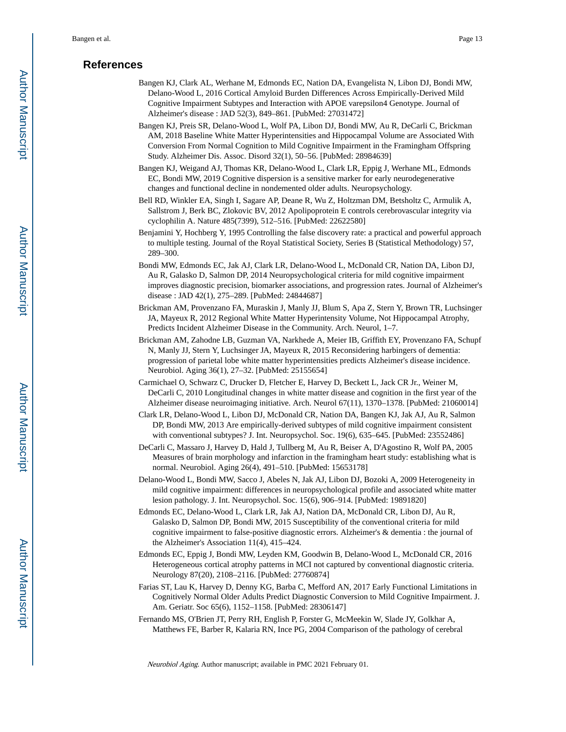#### **References**

- Bangen KJ, Clark AL, Werhane M, Edmonds EC, Nation DA, Evangelista N, Libon DJ, Bondi MW, Delano-Wood L, 2016 Cortical Amyloid Burden Differences Across Empirically-Derived Mild Cognitive Impairment Subtypes and Interaction with APOE varepsilon4 Genotype. Journal of Alzheimer's disease : JAD 52(3), 849–861. [PubMed: 27031472]
- Bangen KJ, Preis SR, Delano-Wood L, Wolf PA, Libon DJ, Bondi MW, Au R, DeCarli C, Brickman AM, 2018 Baseline White Matter Hyperintensities and Hippocampal Volume are Associated With Conversion From Normal Cognition to Mild Cognitive Impairment in the Framingham Offspring Study. Alzheimer Dis. Assoc. Disord 32(1), 50–56. [PubMed: 28984639]
- Bangen KJ, Weigand AJ, Thomas KR, Delano-Wood L, Clark LR, Eppig J, Werhane ML, Edmonds EC, Bondi MW, 2019 Cognitive dispersion is a sensitive marker for early neurodegenerative changes and functional decline in nondemented older adults. Neuropsychology.
- Bell RD, Winkler EA, Singh I, Sagare AP, Deane R, Wu Z, Holtzman DM, Betsholtz C, Armulik A, Sallstrom J, Berk BC, Zlokovic BV, 2012 Apolipoprotein E controls cerebrovascular integrity via cyclophilin A. Nature 485(7399), 512–516. [PubMed: 22622580]
- Benjamini Y, Hochberg Y, 1995 Controlling the false discovery rate: a practical and powerful approach to multiple testing. Journal of the Royal Statistical Society, Series B (Statistical Methodology) 57, 289–300.
- Bondi MW, Edmonds EC, Jak AJ, Clark LR, Delano-Wood L, McDonald CR, Nation DA, Libon DJ, Au R, Galasko D, Salmon DP, 2014 Neuropsychological criteria for mild cognitive impairment improves diagnostic precision, biomarker associations, and progression rates. Journal of Alzheimer's disease : JAD 42(1), 275–289. [PubMed: 24844687]
- Brickman AM, Provenzano FA, Muraskin J, Manly JJ, Blum S, Apa Z, Stern Y, Brown TR, Luchsinger JA, Mayeux R, 2012 Regional White Matter Hyperintensity Volume, Not Hippocampal Atrophy, Predicts Incident Alzheimer Disease in the Community. Arch. Neurol, 1–7.
- Brickman AM, Zahodne LB, Guzman VA, Narkhede A, Meier IB, Griffith EY, Provenzano FA, Schupf N, Manly JJ, Stern Y, Luchsinger JA, Mayeux R, 2015 Reconsidering harbingers of dementia: progression of parietal lobe white matter hyperintensities predicts Alzheimer's disease incidence. Neurobiol. Aging 36(1), 27–32. [PubMed: 25155654]
- Carmichael O, Schwarz C, Drucker D, Fletcher E, Harvey D, Beckett L, Jack CR Jr., Weiner M, DeCarli C, 2010 Longitudinal changes in white matter disease and cognition in the first year of the Alzheimer disease neuroimaging initiative. Arch. Neurol 67(11), 1370–1378. [PubMed: 21060014]
- Clark LR, Delano-Wood L, Libon DJ, McDonald CR, Nation DA, Bangen KJ, Jak AJ, Au R, Salmon DP, Bondi MW, 2013 Are empirically-derived subtypes of mild cognitive impairment consistent with conventional subtypes? J. Int. Neuropsychol. Soc. 19(6), 635–645. [PubMed: 23552486]
- DeCarli C, Massaro J, Harvey D, Hald J, Tullberg M, Au R, Beiser A, D'Agostino R, Wolf PA, 2005 Measures of brain morphology and infarction in the framingham heart study: establishing what is normal. Neurobiol. Aging 26(4), 491–510. [PubMed: 15653178]
- Delano-Wood L, Bondi MW, Sacco J, Abeles N, Jak AJ, Libon DJ, Bozoki A, 2009 Heterogeneity in mild cognitive impairment: differences in neuropsychological profile and associated white matter lesion pathology. J. Int. Neuropsychol. Soc. 15(6), 906–914. [PubMed: 19891820]
- Edmonds EC, Delano-Wood L, Clark LR, Jak AJ, Nation DA, McDonald CR, Libon DJ, Au R, Galasko D, Salmon DP, Bondi MW, 2015 Susceptibility of the conventional criteria for mild cognitive impairment to false-positive diagnostic errors. Alzheimer's & dementia : the journal of the Alzheimer's Association 11(4), 415–424.
- Edmonds EC, Eppig J, Bondi MW, Leyden KM, Goodwin B, Delano-Wood L, McDonald CR, 2016 Heterogeneous cortical atrophy patterns in MCI not captured by conventional diagnostic criteria. Neurology 87(20), 2108–2116. [PubMed: 27760874]
- Farias ST, Lau K, Harvey D, Denny KG, Barba C, Mefford AN, 2017 Early Functional Limitations in Cognitively Normal Older Adults Predict Diagnostic Conversion to Mild Cognitive Impairment. J. Am. Geriatr. Soc 65(6), 1152–1158. [PubMed: 28306147]
- Fernando MS, O'Brien JT, Perry RH, English P, Forster G, McMeekin W, Slade JY, Golkhar A, Matthews FE, Barber R, Kalaria RN, Ince PG, 2004 Comparison of the pathology of cerebral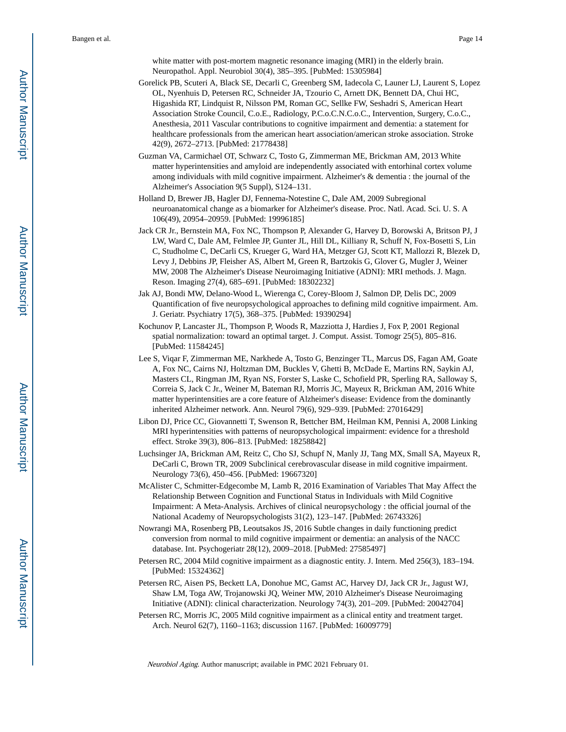white matter with post-mortem magnetic resonance imaging (MRI) in the elderly brain. Neuropathol. Appl. Neurobiol 30(4), 385–395. [PubMed: 15305984]

Gorelick PB, Scuteri A, Black SE, Decarli C, Greenberg SM, Iadecola C, Launer LJ, Laurent S, Lopez OL, Nyenhuis D, Petersen RC, Schneider JA, Tzourio C, Arnett DK, Bennett DA, Chui HC, Higashida RT, Lindquist R, Nilsson PM, Roman GC, Sellke FW, Seshadri S, American Heart Association Stroke Council, C.o.E., Radiology, P.C.o.C.N.C.o.C., Intervention, Surgery, C.o.C., Anesthesia, 2011 Vascular contributions to cognitive impairment and dementia: a statement for healthcare professionals from the american heart association/american stroke association. Stroke 42(9), 2672–2713. [PubMed: 21778438]

Guzman VA, Carmichael OT, Schwarz C, Tosto G, Zimmerman ME, Brickman AM, 2013 White matter hyperintensities and amyloid are independently associated with entorhinal cortex volume among individuals with mild cognitive impairment. Alzheimer's & dementia : the journal of the Alzheimer's Association 9(5 Suppl), S124–131.

Holland D, Brewer JB, Hagler DJ, Fennema-Notestine C, Dale AM, 2009 Subregional neuroanatomical change as a biomarker for Alzheimer's disease. Proc. Natl. Acad. Sci. U. S. A 106(49), 20954–20959. [PubMed: 19996185]

- Jack CR Jr., Bernstein MA, Fox NC, Thompson P, Alexander G, Harvey D, Borowski A, Britson PJ, J LW, Ward C, Dale AM, Felmlee JP, Gunter JL, Hill DL, Killiany R, Schuff N, Fox-Bosetti S, Lin C, Studholme C, DeCarli CS, Krueger G, Ward HA, Metzger GJ, Scott KT, Mallozzi R, Blezek D, Levy J, Debbins JP, Fleisher AS, Albert M, Green R, Bartzokis G, Glover G, Mugler J, Weiner MW, 2008 The Alzheimer's Disease Neuroimaging Initiative (ADNI): MRI methods. J. Magn. Reson. Imaging 27(4), 685–691. [PubMed: 18302232]
- Jak AJ, Bondi MW, Delano-Wood L, Wierenga C, Corey-Bloom J, Salmon DP, Delis DC, 2009 Quantification of five neuropsychological approaches to defining mild cognitive impairment. Am. J. Geriatr. Psychiatry 17(5), 368–375. [PubMed: 19390294]
- Kochunov P, Lancaster JL, Thompson P, Woods R, Mazziotta J, Hardies J, Fox P, 2001 Regional spatial normalization: toward an optimal target. J. Comput. Assist. Tomogr 25(5), 805–816. [PubMed: 11584245]
- Lee S, Viqar F, Zimmerman ME, Narkhede A, Tosto G, Benzinger TL, Marcus DS, Fagan AM, Goate A, Fox NC, Cairns NJ, Holtzman DM, Buckles V, Ghetti B, McDade E, Martins RN, Saykin AJ, Masters CL, Ringman JM, Ryan NS, Forster S, Laske C, Schofield PR, Sperling RA, Salloway S, Correia S, Jack C Jr., Weiner M, Bateman RJ, Morris JC, Mayeux R, Brickman AM, 2016 White matter hyperintensities are a core feature of Alzheimer's disease: Evidence from the dominantly inherited Alzheimer network. Ann. Neurol 79(6), 929–939. [PubMed: 27016429]
- Libon DJ, Price CC, Giovannetti T, Swenson R, Bettcher BM, Heilman KM, Pennisi A, 2008 Linking MRI hyperintensities with patterns of neuropsychological impairment: evidence for a threshold effect. Stroke 39(3), 806–813. [PubMed: 18258842]
- Luchsinger JA, Brickman AM, Reitz C, Cho SJ, Schupf N, Manly JJ, Tang MX, Small SA, Mayeux R, DeCarli C, Brown TR, 2009 Subclinical cerebrovascular disease in mild cognitive impairment. Neurology 73(6), 450–456. [PubMed: 19667320]
- McAlister C, Schmitter-Edgecombe M, Lamb R, 2016 Examination of Variables That May Affect the Relationship Between Cognition and Functional Status in Individuals with Mild Cognitive Impairment: A Meta-Analysis. Archives of clinical neuropsychology : the official journal of the National Academy of Neuropsychologists 31(2), 123–147. [PubMed: 26743326]
- Nowrangi MA, Rosenberg PB, Leoutsakos JS, 2016 Subtle changes in daily functioning predict conversion from normal to mild cognitive impairment or dementia: an analysis of the NACC database. Int. Psychogeriatr 28(12), 2009–2018. [PubMed: 27585497]
- Petersen RC, 2004 Mild cognitive impairment as a diagnostic entity. J. Intern. Med 256(3), 183–194. [PubMed: 15324362]
- Petersen RC, Aisen PS, Beckett LA, Donohue MC, Gamst AC, Harvey DJ, Jack CR Jr., Jagust WJ, Shaw LM, Toga AW, Trojanowski JQ, Weiner MW, 2010 Alzheimer's Disease Neuroimaging Initiative (ADNI): clinical characterization. Neurology 74(3), 201–209. [PubMed: 20042704]
- Petersen RC, Morris JC, 2005 Mild cognitive impairment as a clinical entity and treatment target. Arch. Neurol 62(7), 1160–1163; discussion 1167. [PubMed: 16009779]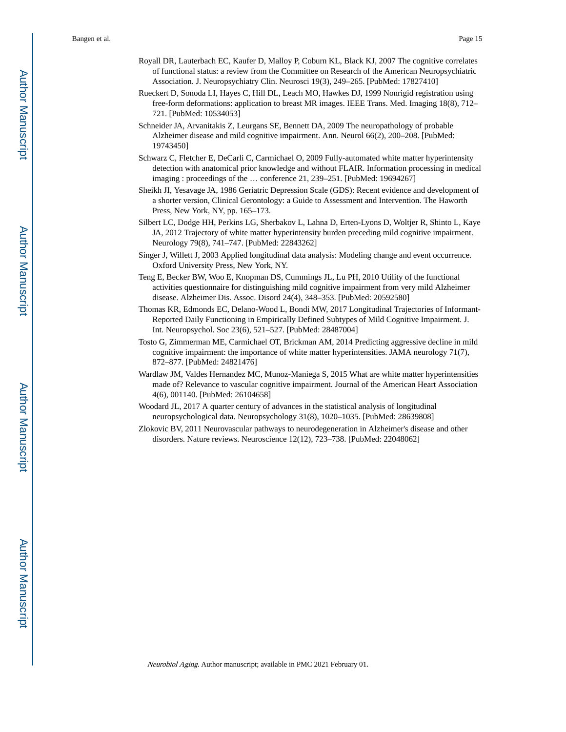- Royall DR, Lauterbach EC, Kaufer D, Malloy P, Coburn KL, Black KJ, 2007 The cognitive correlates of functional status: a review from the Committee on Research of the American Neuropsychiatric Association. J. Neuropsychiatry Clin. Neurosci 19(3), 249–265. [PubMed: 17827410]
- Rueckert D, Sonoda LI, Hayes C, Hill DL, Leach MO, Hawkes DJ, 1999 Nonrigid registration using free-form deformations: application to breast MR images. IEEE Trans. Med. Imaging 18(8), 712– 721. [PubMed: 10534053]
- Schneider JA, Arvanitakis Z, Leurgans SE, Bennett DA, 2009 The neuropathology of probable Alzheimer disease and mild cognitive impairment. Ann. Neurol 66(2), 200–208. [PubMed: 19743450]
- Schwarz C, Fletcher E, DeCarli C, Carmichael O, 2009 Fully-automated white matter hyperintensity detection with anatomical prior knowledge and without FLAIR. Information processing in medical imaging : proceedings of the … conference 21, 239–251. [PubMed: 19694267]
- Sheikh JI, Yesavage JA, 1986 Geriatric Depression Scale (GDS): Recent evidence and development of a shorter version, Clinical Gerontology: a Guide to Assessment and Intervention. The Haworth Press, New York, NY, pp. 165–173.
- Silbert LC, Dodge HH, Perkins LG, Sherbakov L, Lahna D, Erten-Lyons D, Woltjer R, Shinto L, Kaye JA, 2012 Trajectory of white matter hyperintensity burden preceding mild cognitive impairment. Neurology 79(8), 741–747. [PubMed: 22843262]
- Singer J, Willett J, 2003 Applied longitudinal data analysis: Modeling change and event occurrence. Oxford University Press, New York, NY.
- Teng E, Becker BW, Woo E, Knopman DS, Cummings JL, Lu PH, 2010 Utility of the functional activities questionnaire for distinguishing mild cognitive impairment from very mild Alzheimer disease. Alzheimer Dis. Assoc. Disord 24(4), 348–353. [PubMed: 20592580]
- Thomas KR, Edmonds EC, Delano-Wood L, Bondi MW, 2017 Longitudinal Trajectories of Informant-Reported Daily Functioning in Empirically Defined Subtypes of Mild Cognitive Impairment. J. Int. Neuropsychol. Soc 23(6), 521–527. [PubMed: 28487004]
- Tosto G, Zimmerman ME, Carmichael OT, Brickman AM, 2014 Predicting aggressive decline in mild cognitive impairment: the importance of white matter hyperintensities. JAMA neurology 71(7), 872–877. [PubMed: 24821476]
- Wardlaw JM, Valdes Hernandez MC, Munoz-Maniega S, 2015 What are white matter hyperintensities made of? Relevance to vascular cognitive impairment. Journal of the American Heart Association 4(6), 001140. [PubMed: 26104658]
- Woodard JL, 2017 A quarter century of advances in the statistical analysis of longitudinal neuropsychological data. Neuropsychology 31(8), 1020–1035. [PubMed: 28639808]
- Zlokovic BV, 2011 Neurovascular pathways to neurodegeneration in Alzheimer's disease and other disorders. Nature reviews. Neuroscience 12(12), 723–738. [PubMed: 22048062]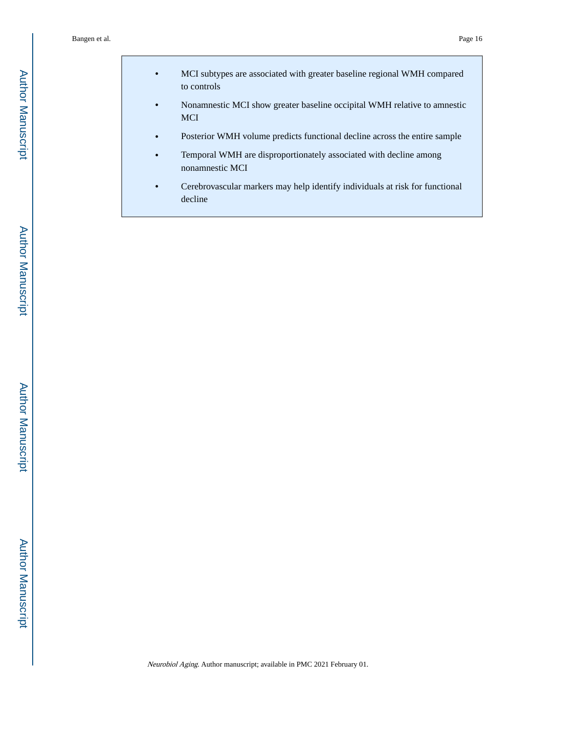- **•** MCI subtypes are associated with greater baseline regional WMH compared to controls
- **•** Nonamnestic MCI show greater baseline occipital WMH relative to amnestic MCI
- **•** Posterior WMH volume predicts functional decline across the entire sample
- **•** Temporal WMH are disproportionately associated with decline among nonamnestic MCI
- **•** Cerebrovascular markers may help identify individuals at risk for functional decline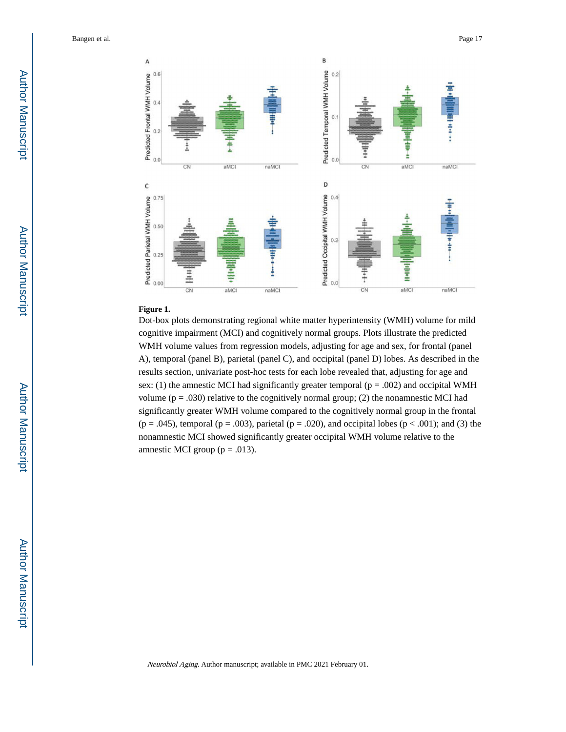

#### **Figure 1.**

Dot-box plots demonstrating regional white matter hyperintensity (WMH) volume for mild cognitive impairment (MCI) and cognitively normal groups. Plots illustrate the predicted WMH volume values from regression models, adjusting for age and sex, for frontal (panel A), temporal (panel B), parietal (panel C), and occipital (panel D) lobes. As described in the results section, univariate post-hoc tests for each lobe revealed that, adjusting for age and sex: (1) the amnestic MCI had significantly greater temporal ( $p = .002$ ) and occipital WMH volume ( $p = .030$ ) relative to the cognitively normal group; (2) the nonamnestic MCI had significantly greater WMH volume compared to the cognitively normal group in the frontal  $(p = .045)$ , temporal  $(p = .003)$ , parietal  $(p = .020)$ , and occipital lobes  $(p < .001)$ ; and (3) the nonamnestic MCI showed significantly greater occipital WMH volume relative to the amnestic MCI group ( $p = .013$ ).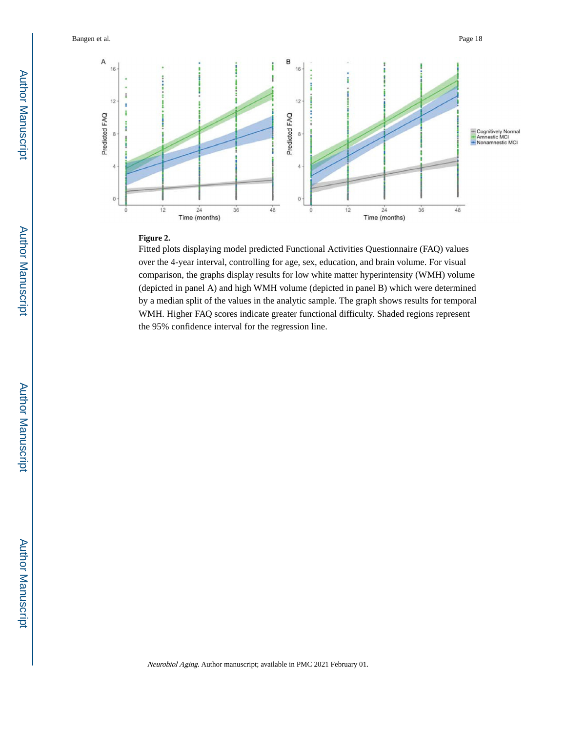

#### **Figure 2.**

Fitted plots displaying model predicted Functional Activities Questionnaire (FAQ) values over the 4-year interval, controlling for age, sex, education, and brain volume. For visual comparison, the graphs display results for low white matter hyperintensity (WMH) volume (depicted in panel A) and high WMH volume (depicted in panel B) which were determined by a median split of the values in the analytic sample. The graph shows results for temporal WMH. Higher FAQ scores indicate greater functional difficulty. Shaded regions represent the 95% confidence interval for the regression line.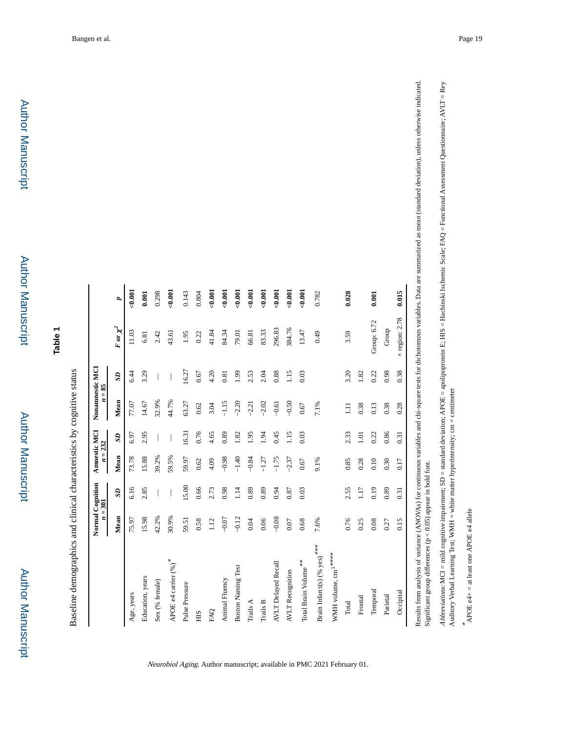| ٠ |
|---|
|   |
|   |
|   |
|   |
|   |
| ī |
|   |
|   |
|   |
|   |
|   |
|   |
|   |
|   |
|   |
|   |
|   |
|   |
|   |
|   |
|   |
|   |
|   |
|   |
|   |
|   |
|   |
|   |
|   |
|   |
|   |
| ٠ |
|   |
|   |

**Table 1**

Baseline demographics and clinical characteristics by cognitive status Baseline demographics and clinical characteristics by cognitive status

|                                            | Normal Cognition<br>$n = 301$ |                 | Annestic MCI<br>$n = 232$ |                 | Nonamnestic MCI | $= 85$       |                       |          |
|--------------------------------------------|-------------------------------|-----------------|---------------------------|-----------------|-----------------|--------------|-----------------------|----------|
|                                            | Mean                          | SD <sub>1</sub> | Mean                      | SD <sub>1</sub> | Mean            | $\mathbf{S}$ | $F$ or $\chi^2$       | d        |
| Age, years                                 | 75.97                         | 6.16            | 73.78                     | 6.97            | 77.07           | 6.44         | 11.03                 | $-0.001$ |
| Education, years                           | 15.98                         | 2.85            | 15.88                     | 2.95            | 14.67           | 3.29         | 6.81                  | 0.001    |
| Sex (% female)                             | 42.2%                         |                 | 39.2%                     |                 | 32.9%           |              | 2.42                  | 0.298    |
| APOE e4 carrier $(\%)^{*}$                 | 30.9%                         |                 | 59.5%                     |                 | 44.7%           |              | 43.61                 | 0.001    |
| Pulse Pressure                             | 59.51                         | 5.00            | 59.97                     | 16.31           | 63.27           | 16.27        | 1.95                  | 0.143    |
| ЯH                                         | 0.58                          | 0.66            | 0.62                      | 0.76            | 0.62            | 0.67         | 0.22                  | 0.804    |
| <b>PAQ</b>                                 | 1.12                          | 2.73            | 4.09                      | 4.65            | 3.04            | 4.20         | 41.84                 | $-0.001$ |
| Animal Fluency                             | $-0.07$                       | 0.98            | $-0.98$                   | 0.89            | $-1.15$         | 0.81         | 84.34                 | $-0.001$ |
| <b>Boston Naming Test</b>                  | $-0.12$                       | 1.14            | $-1.40$                   | 1.82            | $-2.20$         | 1.99         | 79.01                 | $-0.001$ |
| Trails A                                   | 0.04                          | 0.89            | $-0.84$                   | 0.95            | $-2.21$         | 2.53         | 66.81                 | $-0.001$ |
| Trails B                                   | 0.06                          | 0.89            | $-1.27$                   | 1.94            | $-2.02$         | 2.04         | 83.33                 | $-0.001$ |
| <b>AVLT Delayed Recall</b>                 | $-0.08$                       | 0.94            | $-1.75$                   | 0.45            | $-0.61$         | 0.88         | 296.83                | $-0.001$ |
| <b>AVLT</b> Recognition                    | 0.07                          | 0.87            | $-2.37$                   | 1.15            | $-0.50$         | 1.15         | 384.76                | 0.001    |
| Total Brain Volume <sup>**</sup>           | 0.68                          | 0.03            | 0.67                      | 0.03            | 0.67            | 0.03         | 13.47                 | $-0.001$ |
| Brain Infarct(s) $(\%$ yes) <sup>***</sup> | 7.6%                          |                 | 9.1%                      |                 | 7.1%            |              | 0.49                  | 0.782    |
| WMH volume, cm <sup>3</sup> *****          |                               |                 |                           |                 |                 |              |                       |          |
| Total                                      | 0.76                          | 2.55            | 0.85                      | 2.33            | $\Xi$           | 3.20         | 3.59                  | 0.028    |
| Frontal                                    | 0.25                          | 1.17            | 0.28                      | 1.01            | 0.38            | 1.82         |                       |          |
| Temporal                                   | 0.08                          | 0.19            | 0.10                      | 0.22            | 0.13            | 0.22         | Group: 6.72           | 0.001    |
| Parietal                                   | 0.27                          | 0.89            | 0.30                      | 0.86            | 0.38            | 0.98         | Group                 |          |
| Occipital                                  | 0.15                          | 0.31            | 0.17                      | 0.31            | 0.28            | 0.38         | $\times$ region: 2.78 | 0.015    |

Neurobiol Aging. Author manuscript; available in PMC 2021 February 01.

Results from analysis of variance (ANOVAs) for continuous variables and chi-square tests for dichotomous variables. Data are summarized as mean (standard deviation), unless otherwise indicated. mmarized as mean (standard deviation), unless otherwise indicated. Significant group differences ( $p < 0.05$ ) appear in bold font. Significant group differences (p < 0.05) appear in bold font.

Abbreviations: MCI = mild cognitive impairment; SD = standard deviation; APOE = apolipoprotein E; HIS = Hachinski Ischemic Scale; FAQ = Functional Assessment Questionnaire; AVLT = Rey Abbreviations: MCI = mild cognitive impairment; SD = standard deviation; APOE = apolipoprotein E; HIS = Hachinski Ischemic Scale; FAQ = Functional Assessment Questionnaire; AVLT = Rey<br>Auditory Verbal Learning Test; WMH = w Auditory Verbal Learning Test; WMH = white matter hyperintensity; cm = centimeter

 $*$  APOE e4+ = at least one APOE e4 allele APOE ε4+ = at least one APOE ε4 allele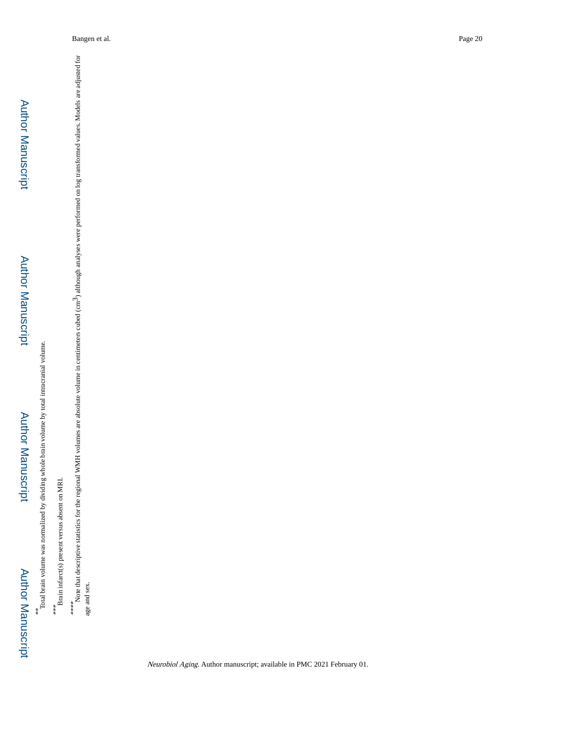# Author Manuscript**Author Manuscript**

\*\*\* Total brain volume was normalized by dividing whole brain volume by total intracranial volume. Total brain volume was normalized by dividing whole brain volume by total intracranial volume.

\*\*\*<br>Brain infarct(s) present versus absent on MRI. Brain infarct(s) present versus absent on MRI.

\*\*\*\*\*<br>Note that descriptive statistics for the regional WMH volumes are absolute volume in centimeters cubed (cm<sup>3</sup>) although analyses were performed on log transformed values. Models are adjusted for Note that descriptive statistics for the regional WMH volumes are absolute volume in centimeters cubed (cm<sup>3</sup>) although analyses were performed on log transformed values. Models are adjusted for age and sex. age and sex.